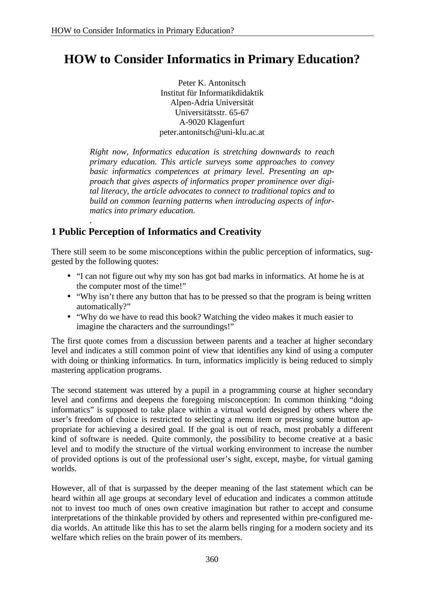# **HOW to Consider Informatics in Primary Education?**

Peter K. Antonitsch Institut für Informatikdidaktik Alpen-Adria Universität Universitätsstr. 65-67 A-9020 Klagenfurt [peter.antonitsch@uni-klu.ac.at](mailto:peter.antonitsch@uni-klu.ac.at)

*Right now, Informatics education is stretching downwards to reach primary education. This article surveys some approaches to convey basic informatics competences at primary level. Presenting an approach that gives aspects of informatics proper prominence over digital literacy, the article advocates to connect to traditional topics and to build on common learning patterns when introducing aspects of informatics into primary education.*

#### *.* **1 Public Perception of Informatics and Creativity**

There still seem to be some misconceptions within the public perception of informatics, suggested by the following quotes:

- "I can not figure out why my son has got bad marks in informatics. At home he is at the computer most of the time!"
- "Why isn't there any button that has to be pressed so that the program is being written automatically?"
- "Why do we have to read this book? Watching the video makes it much easier to imagine the characters and the surroundings!"

The first quote comes from a discussion between parents and a teacher at higher secondary level and indicates a still common point of view that identifies any kind of using a computer with doing or thinking informatics. In turn, informatics implicitly is being reduced to simply mastering application programs.

The second statement was uttered by a pupil in a programming course at higher secondary level and confirms and deepens the foregoing misconception: In common thinking "doing informatics" is supposed to take place within a virtual world designed by others where the user's freedom of choice is restricted to selecting a menu item or pressing some button appropriate for achieving a desired goal. If the goal is out of reach, most probably a different kind of software is needed. Quite commonly, the possibility to become creative at a basic level and to modify the structure of the virtual working environment to increase the number of provided options is out of the professional user's sight, except, maybe, for virtual gaming worlds.

However, all of that is surpassed by the deeper meaning of the last statement which can be heard within all age groups at secondary level of education and indicates a common attitude not to invest too much of ones own creative imagination but rather to accept and consume interpretations of the thinkable provided by others and represented within pre-configured media worlds. An attitude like this has to set the alarm bells ringing for a modern society and its welfare which relies on the brain power of its members.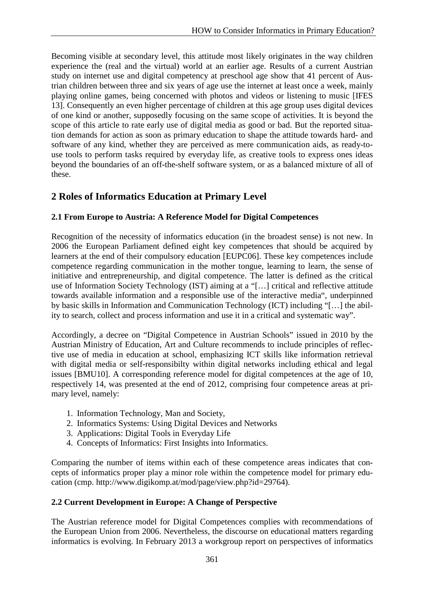Becoming visible at secondary level, this attitude most likely originates in the way children experience the (real and the virtual) world at an earlier age. Results of a current Austrian study on internet use and digital competency at preschool age show that 41 percent of Austrian children between three and six years of age use the internet at least once a week, mainly playing online games, being concerned with photos and videos or listening to music [IFES 13]. Consequently an even higher percentage of children at this age group uses digital devices of one kind or another, supposedly focusing on the same scope of activities. It is beyond the scope of this article to rate early use of digital media as good or bad. But the reported situation demands for action as soon as primary education to shape the attitude towards hard- and software of any kind, whether they are perceived as mere communication aids, as ready-touse tools to perform tasks required by everyday life, as creative tools to express ones ideas beyond the boundaries of an off-the-shelf software system, or as a balanced mixture of all of these.

# **2 Roles of Informatics Education at Primary Level**

### **2.1 From Europe to Austria: A Reference Model for Digital Competences**

Recognition of the necessity of informatics education (in the broadest sense) is not new. In 2006 the European Parliament defined eight key competences that should be acquired by learners at the end of their compulsory education [EUPC06]. These key competences include competence regarding communication in the mother tongue, learning to learn, the sense of initiative and entrepreneurship, and digital competence. The latter is defined as the critical use of Information Society Technology (IST) aiming at a "[…] critical and reflective attitude towards available information and a responsible use of the interactive media", underpinned by basic skills in Information and Communication Technology (ICT) including "[…] the ability to search, collect and process information and use it in a critical and systematic way".

Accordingly, a decree on "Digital Competence in Austrian Schools" issued in 2010 by the Austrian Ministry of Education, Art and Culture recommends to include principles of reflective use of media in education at school, emphasizing ICT skills like information retrieval with digital media or self-responsibilty within digital networks including ethical and legal issues [BMU10]. A corresponding reference model for digital competences at the age of 10, respectively 14, was presented at the end of 2012, comprising four competence areas at primary level, namely:

- 1. Information Technology, Man and Society,
- 2. Informatics Systems: Using Digital Devices and Networks
- 3. Applications: Digital Tools in Everyday Life
- 4. Concepts of Informatics: First Insights into Informatics.

Comparing the number of items within each of these competence areas indicates that concepts of informatics proper play a minor role within the competence model for primary education (cmp. [http://www.digikomp.at/mod/page/view.php?id=29764\).](http://www.digikomp.at/mod/page/view.php?id=29764).)

#### **2.2 Current Development in Europe: A Change of Perspective**

The Austrian reference model for Digital Competences complies with recommendations of the European Union from 2006. Nevertheless, the discourse on educational matters regarding informatics is evolving. In February 2013 a workgroup report on perspectives of informatics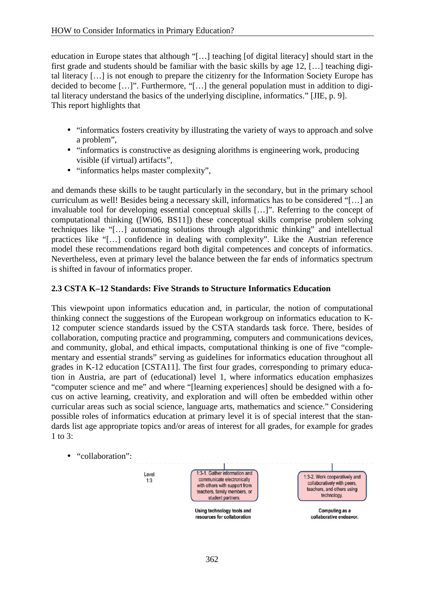education in Europe states that although "[…] teaching [of digital literacy] should start in the first grade and students should be familiar with the basic skills by age 12, […] teaching digital literacy […] is not enough to prepare the citizenry for the Information Society Europe has decided to become […]". Furthermore, "[…] the general population must in addition to digital literacy understand the basics of the underlying discipline, informatics." [JIE, p. 9]. This report highlights that

- "informatics fosters creativity by illustrating the variety of ways to approach and solve a problem",
- "informatics is constructive as designing alorithms is engineering work, producing visible (if virtual) artifacts",
- "informatics helps master complexity",

and demands these skills to be taught particularly in the secondary, but in the primary school curriculum as well! Besides being a necessary skill, informatics has to be considered "[…] an invaluable tool for developing essential conceptual skills […]". Referring to the concept of computational thinking ([Wi06, BS11]) these conceptual skills comprise problem solving techniques like "[…] automating solutions through algorithmic thinking" and intellectual practices like "[…] confidence in dealing with complexity". Like the Austrian reference model these recommendations regard both digital competences and concepts of informatics. Nevertheless, even at primary level the balance between the far ends of informatics spectrum is shifted in favour of informatics proper.

#### **2.3 CSTA K–12 Standards: Five Strands to Structure Informatics Education**

This viewpoint upon informatics education and, in particular, the notion of computational thinking connect the suggestions of the European workgroup on informatics education to K-12 computer science standards issued by the CSTA standards task force. There, besides of collaboration, computing practice and programming, computers and communications devices, and community, global, and ethical impacts, computational thinking is one of five "complementary and essential strands" serving as guidelines for informatics education throughout all grades in K-12 education [CSTA11]. The first four grades, corresponding to primary education in Austria, are part of (educational) level 1, where informatics education emphasizes "computer science and me" and where "[learning experiences] should be designed with a focus on active learning, creativity, and exploration and will often be embedded within other curricular areas such as social science, language arts, mathematics and science." Considering possible roles of informatics education at primary level it is of special interest that the standards list age appropriate topics and/or areas of interest for all grades, for example for grades 1 to 3:

• "collaboration":

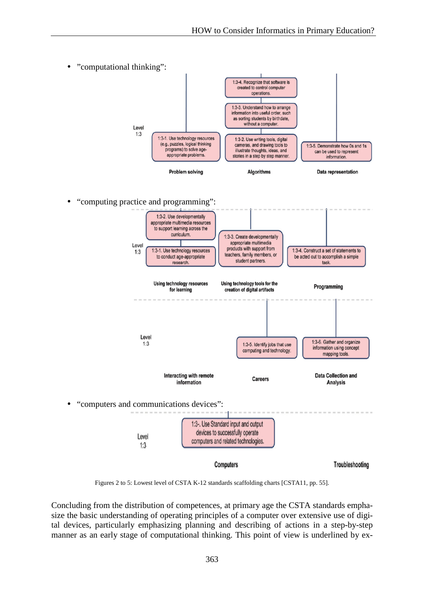

Figures 2 to 5: Lowest level of CSTA K-12 standards scaffolding charts [CSTA11, pp. 55].

Concluding from the distribution of competences, at primary age the CSTA standards emphasize the basic understanding of operating principles of a computer over extensive use of digital devices, particularly emphasizing planning and describing of actions in a step-by-step manner as an early stage of computational thinking. This point of view is underlined by ex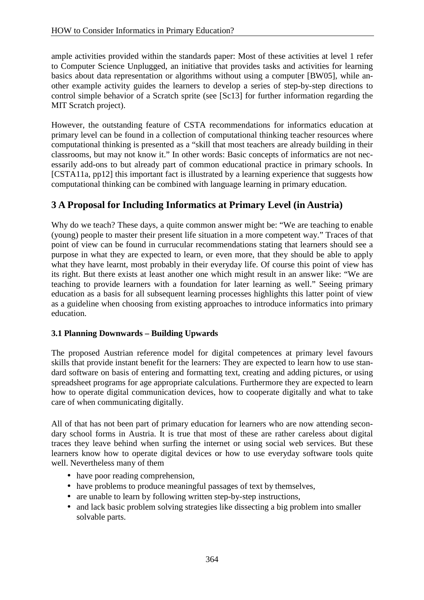ample activities provided within the standards paper: Most of these activities at level 1 refer to Computer Science Unplugged, an initiative that provides tasks and activities for learning basics about data representation or algorithms without using a computer [BW05], while another example activity guides the learners to develop a series of step-by-step directions to control simple behavior of a Scratch sprite (see [Sc13] for further information regarding the MIT Scratch project).

However, the outstanding feature of CSTA recommendations for informatics education at primary level can be found in a collection of computational thinking teacher resources where computational thinking is presented as a "skill that most teachers are already building in their classrooms, but may not know it." In other words: Basic concepts of informatics are not necessarily add-ons to but already part of common educational practice in primary schools. In [CSTA11a, pp12] this important fact is illustrated by a learning experience that suggests how computational thinking can be combined with language learning in primary education.

# **3 A Proposal for Including Informatics at Primary Level (in Austria)**

Why do we teach? These days, a quite common answer might be: "We are teaching to enable (young) people to master their present life situation in a more competent way." Traces of that point of view can be found in currucular recommendations stating that learners should see a purpose in what they are expected to learn, or even more, that they should be able to apply what they have learnt, most probably in their everyday life. Of course this point of view has its right. But there exists at least another one which might result in an answer like: "We are teaching to provide learners with a foundation for later learning as well." Seeing primary education as a basis for all subsequent learning processes highlights this latter point of view as a guideline when choosing from existing approaches to introduce informatics into primary education.

### **3.1 Planning Downwards – Building Upwards**

The proposed Austrian reference model for digital competences at primary level favours skills that provide instant benefit for the learners: They are expected to learn how to use standard software on basis of entering and formatting text, creating and adding pictures, or using spreadsheet programs for age appropriate calculations. Furthermore they are expected to learn how to operate digital communication devices, how to cooperate digitally and what to take care of when communicating digitally.

All of that has not been part of primary education for learners who are now attending secondary school forms in Austria. It is true that most of these are rather careless about digital traces they leave behind when surfing the internet or using social web services. But these learners know how to operate digital devices or how to use everyday software tools quite well. Nevertheless many of them

- have poor reading comprehension,
- have problems to produce meaningful passages of text by themselves,
- are unable to learn by following written step-by-step instructions,
- and lack basic problem solving strategies like dissecting a big problem into smaller solvable parts.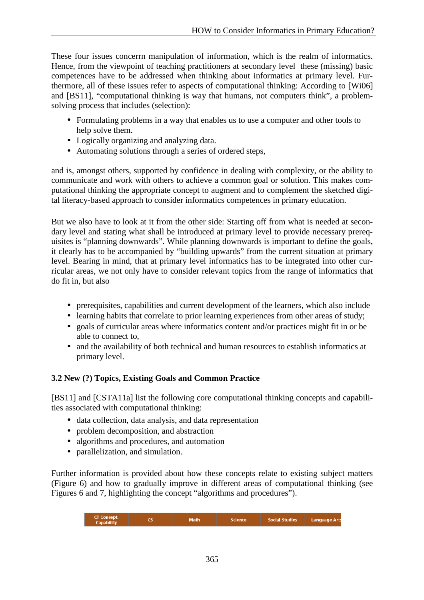These four issues concerrn manipulation of information, which is the realm of informatics. Hence, from the viewpoint of teaching practitioners at secondary level these (missing) basic competences have to be addressed when thinking about informatics at primary level. Furthermore, all of these issues refer to aspects of computational thinking: According to [Wi06] and [BS11], "computational thinking is way that humans, not computers think", a problemsolving process that includes (selection):

- Formulating problems in a way that enables us to use a computer and other tools to help solve them.
- Logically organizing and analyzing data.
- Automating solutions through a series of ordered steps,

and is, amongst others, supported by confidence in dealing with complexity, or the ability to communicate and work with others to achieve a common goal or solution. This makes computational thinking the appropriate concept to augment and to complement the sketched digital literacy-based approach to consider informatics competences in primary education.

But we also have to look at it from the other side: Starting off from what is needed at secondary level and stating what shall be introduced at primary level to provide necessary prerequisites is "planning downwards". While planning downwards is important to define the goals, it clearly has to be accompanied by "building upwards" from the current situation at primary level. Bearing in mind, that at primary level informatics has to be integrated into other curricular areas, we not only have to consider relevant topics from the range of informatics that do fit in, but also

- prerequisites, capabilities and current development of the learners, which also include
- learning habits that correlate to prior learning experiences from other areas of study;
- goals of curricular areas where informatics content and/or practices might fit in or be able to connect to,
- and the availability of both technical and human resources to establish informatics at primary level.

## **3.2 New (?) Topics, Existing Goals and Common Practice**

[BS11] and [CSTA11a] list the following core computational thinking concepts and capabilities associated with computational thinking:

- data collection, data analysis, and data representation
- problem decomposition, and abstraction
- algorithms and procedures, and automation
- parallelization, and simulation.

Further information is provided about how these concepts relate to existing subject matters (Figure 6) and how to gradually improve in different areas of computational thinking (see Figures 6 and 7, highlighting the concept "algorithms and procedures").

|  | CT Concept,<br>Capability |  | <b>Math</b> | Science | <b>Social Studies</b> | <b>Language Arts</b> |
|--|---------------------------|--|-------------|---------|-----------------------|----------------------|
|--|---------------------------|--|-------------|---------|-----------------------|----------------------|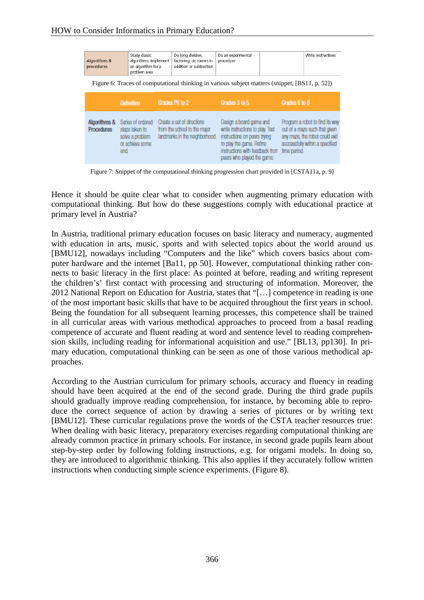| Study classic<br>algorithms; implement<br>Algorithms &<br>an algorithm for a<br>procedures<br>problem area |                                                                                   | Do long division,<br>factoring; do carries in<br>addition or subtraction |                                                                                              | Do an experimental<br>procedure                                                                                                                                                          |  |                                                                                                                                                       | Write instructions |
|------------------------------------------------------------------------------------------------------------|-----------------------------------------------------------------------------------|--------------------------------------------------------------------------|----------------------------------------------------------------------------------------------|------------------------------------------------------------------------------------------------------------------------------------------------------------------------------------------|--|-------------------------------------------------------------------------------------------------------------------------------------------------------|--------------------|
| Figure 6: Traces of computational thinking in various subject matters (snippet, [BS11, p. 52])             |                                                                                   |                                                                          |                                                                                              |                                                                                                                                                                                          |  |                                                                                                                                                       |                    |
|                                                                                                            | <b>Definition</b>                                                                 | Grades PK to 2                                                           |                                                                                              | Grades 3 to 5                                                                                                                                                                            |  | Grades 6 to 8                                                                                                                                         |                    |
| Algorithms &<br><b>Procedures</b>                                                                          | Series of ordered<br>steps taken to<br>solve a problem<br>or achieve some<br>end. |                                                                          | Create a set of directions<br>from the school to the major<br>landmarks in the neighborhood. | Dasign a board game and<br>write instructions to play. Test<br>instructions on peers trying<br>to play the game. Refine<br>instructions with feedback from<br>peers who played the game. |  | Program a robot to find its way<br>out of a maze such that given<br>any maze, the robot could exit<br>successfully within a specified<br>time period. |                    |

Figure 7: Snippet of the computational thinking progression chart provided in [CSTA11a, p. 9]

Hence it should be quite clear what to consider when augmenting primary education with computational thinking. But how do these suggestions comply with educational practice at primary level in Austria?

In Austria, traditional primary education focuses on basic literacy and numeracy, augmented with education in arts, music, sports and with selected topics about the world around us [BMU12], nowadays including "Computers and the like" which covers basics about computer hardware and the internet [Ba11, pp 50]. However, computational thinking rather connects to basic literacy in the first place: As pointed at before, reading and writing represent the children's' first contact with processing and structuring of information. Moreover, the 2012 National Report on Education for Austria, states that "[…] competence in reading is one of the most important basic skills that have to be acquired throughout the first years in school. Being the foundation for all subsequent learning processes, this competence shall be trained in all curricular areas with various methodical approaches to proceed from a basal reading competence of accurate and fluent reading at word and sentence level to reading comprehension skills, including reading for informational acquisition and use." [BL13, pp130]. In primary education, computational thinking can be seen as one of those various methodical approaches.

According to the Austrian curriculum for primary schools, accuracy and fluency in reading should have been acquired at the end of the second grade. During the third grade pupils should gradually improve reading comprehension, for instance, by becoming able to reproduce the correct sequence of action by drawing a series of pictures or by writing text [BMU12]. These curricular regulations prove the words of the CSTA teacher resources true: When dealing with basic literacy, preparatory exercises regarding computational thinking are already common practice in primary schools. For instance, in second grade pupils learn about step-by-step order by following folding instructions, e.g. for origami models. In doing so, they are introduced to algorithmic thinking. This also applies if they accurately follow written instructions when conducting simple science experiments. (Figure 8).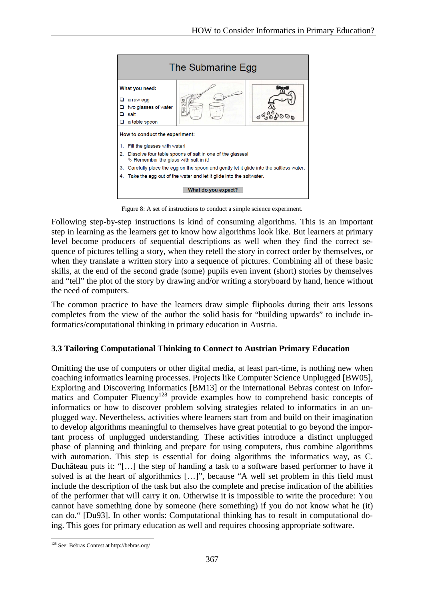

Figure 8: A set of instructions to conduct a simple science experiment.

Following step-by-step instructions is kind of consuming algorithms. This is an important step in learning as the learners get to know how algorithms look like. But learners at primary level become producers of sequential descriptions as well when they find the correct sequence of pictures telling a story, when they retell the story in correct order by themselves, or when they translate a written story into a sequence of pictures. Combining all of these basic skills, at the end of the second grade (some) pupils even invent (short) stories by themselves and "tell" the plot of the story by drawing and/or writing a storyboard by hand, hence without the need of computers.

The common practice to have the learners draw simple flipbooks during their arts lessons completes from the view of the author the solid basis for "building upwards" to include informatics/computational thinking in primary education in Austria.

#### **3.3 Tailoring Computational Thinking to Connect to Austrian Primary Education**

Omitting the use of computers or other digital media, at least part-time, is nothing new when coaching informatics learning processes. Projects like Computer Science Unplugged [BW05], Exploring and Discovering Informatics [BM13] or the international Bebras contest on Informatics and Computer Fluency<sup>128</sup> provide examples how to comprehend basic concepts of informatics or how to discover problem solving strategies related to informatics in an unplugged way. Nevertheless, activities where learners start from and build on their imagination to develop algorithms meaningful to themselves have great potential to go beyond the important process of unplugged understanding. These activities introduce a distinct unplugged phase of planning and thinking and prepare for using computers, thus combine algorithms with automation. This step is essential for doing algorithms the informatics way, as C. Duchâteau puts it: "[…] the step of handing a task to a software based performer to have it solved is at the heart of algorithmics […]", because "A well set problem in this field must include the description of the task but also the complete and precise indication of the abilities of the performer that will carry it on. Otherwise it is impossible to write the procedure: You cannot have something done by someone (here something) if you do not know what he (it) can do." [Du93]. In other words: Computational thinking has to result in computational doing. This goes for primary education as well and requires choosing appropriate software.

<sup>128</sup> See: Bebras Contest at <http://bebras.org/>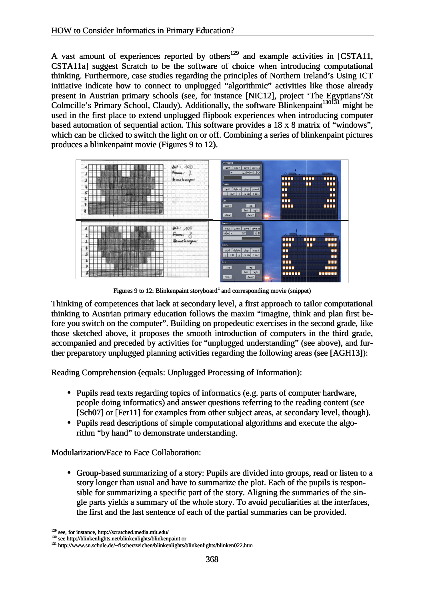A vast amount of experiences reported by others<sup>129</sup> and example activities in [CSTA11, CSTA11a] suggest Scratch to be the software of choice when introducing computational thinking. Furthermore, case studies regarding the principles of Northern Ireland's Using ICT initiative indicate how to connect to unplugged "algorithmic" activities like those already present in Austrian primary schools (see, for instance [NIC12], project 'The Egyptians'/St Colmcille's Primary School, Claudy). Additionally, the software Blinkenpaint<sup>130131</sup> might be used in the first place to extend unplugged flipbook experiences when introducing computer based automation of sequential action. This software provides a 18 x 8 matrix of "windows", which can be clicked to switch the light on or off. Combining a series of blinkenpaint pictures produces a blinkenpaint movie (Figures 9 to 12). Consider Informatics in Primary Education?<br>
mount of experiences reported by others<sup>129</sup> and example activities in [CST/<br>
i] suggest Scratch to be the software of choice when introducing computati-<br>
Furthermore, case stud first place to extend unplugged flipbook experiences when introducing computer<br>omation of sequential action. This software provides a 18 x 8 matrix of "windows",<br>i be clicked to switch the light on or off. Combining a seri



Figures 9 to 12: Blinkenpaint storyboard<sup>4</sup> and corresponding movie (snippet)

Thinking of competences that lack at secondary level, a first approach to tailor computational Thinking of competences that lack at secondary level, a first approach to tailor computational thinking to Austrian primary education follows the maxim "imagine, think and plan first before you switch on the computer". Building on propedeutic exercises in the second grade, like those sketched above, it proposes the smooth introduction of computers in the third grade, accompanied and preceded by activities for "unplugged understanding" (see above), and further preparatory unplugged planning activities regarding the following areas (see [AGH13]): you switch on the computer". Building on propedeutic exercises in the second grade, like sketched above, it proposes the smooth introduction of computers in the third grade mpanied and preceded by activities for "unplugged

Reading Comprehension (equals: Unplugged Processing of Information):

- In Comprehension (equals: Unplugged Processing of Information):<br>• Pupils read texts regarding topics of informatics (e.g. parts of computer hardware, people doing informatics) and answer questions referring to the reading content (see [Sch07] or [Fer11] for examples from other subject areas, at secondary level, though).
- Pupils read descriptions of simple computational algorithms and execute the algorithm "by hand" to demonstrate understanding.

Modularization/Face to Face Collaboration:

• Group-based summarizing of a story: Pupils are divided into groups, read or listen to a story longer than usual and have to summarize the plot. Each of the pupils is responsible for summarizing a specific part of the story. Aligning the summaries of the single parts yields a summary of the whole story. To avoid peculiarities at the interfaces, the first and the last sentence of each of the partial summaries can be provided. rithm "by hand" to demonstrate understanding.<br>
unization/Face to Face Collaboration:<br>
Group-based summarizing of a story: Pupils are divided into groups,<br>
story longer than usual and have to summarize the plot. Each of the

<sup>129</sup> see, for instance,<http://scratched.media.mit.edu/>

<sup>&</sup>lt;sup>130</sup> see <http://blinkenlights.net/blinkenlights/blinkenpaint> or

<sup>131</sup> <http://www.sn.schule.de/~fischer/zeichen/blinkenlights/blinkenlights/blinken022.htm>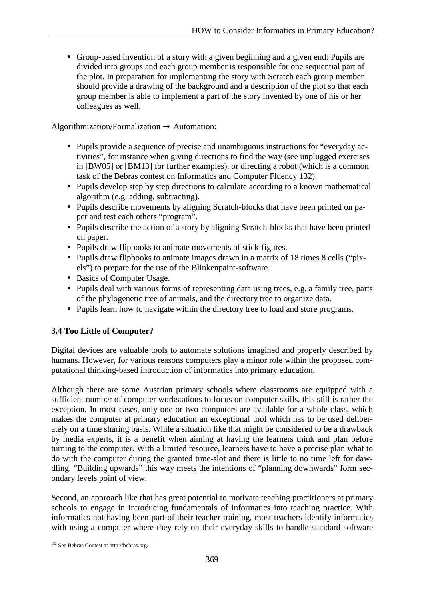• Group-based invention of a story with a given beginning and a given end: Pupils are divided into groups and each group member is responsible for one sequential part of the plot. In preparation for implementing the story with Scratch each group member should provide a drawing of the background and a description of the plot so that each group member is able to implement a part of the story invented by one of his or her colleagues as well.

Algorithmization/Formalization  $\rightarrow$  Automation:

- Pupils provide a sequence of precise and unambiguous instructions for "everyday activities", for instance when giving directions to find the way (see unplugged exercises in [BW05] or [BM13] for further examples), or directing a robot (which is a common task of the Bebras contest on Informatics and Computer Fluency 132).
- Pupils develop step by step directions to calculate according to a known mathematical algorithm (e.g. adding, subtracting).
- Pupils describe movements by aligning Scratch-blocks that have been printed on paper and test each others "program".
- Pupils describe the action of a story by aligning Scratch-blocks that have been printed on paper.
- Pupils draw flipbooks to animate movements of stick-figures.
- Pupils draw flipbooks to animate images drawn in a matrix of 18 times 8 cells ("pixels") to prepare for the use of the Blinkenpaint-software.
- Basics of Computer Usage.
- Pupils deal with various forms of representing data using trees, e.g. a family tree, parts of the phylogenetic tree of animals, and the directory tree to organize data.
- Pupils learn how to navigate within the directory tree to load and store programs.

### **3.4 Too Little of Computer?**

Digital devices are valuable tools to automate solutions imagined and properly described by humans. However, for various reasons computers play a minor role within the proposed computational thinking-based introduction of informatics into primary education.

Although there are some Austrian primary schools where classrooms are equipped with a sufficient number of computer workstations to focus on computer skills, this still is rather the exception. In most cases, only one or two computers are available for a whole class, which makes the computer at primary education an exceptional tool which has to be used deliberately on a time sharing basis. While a situation like that might be considered to be a drawback by media experts, it is a benefit when aiming at having the learners think and plan before turning to the computer. With a limited resource, learners have to have a precise plan what to do with the computer during the granted time-slot and there is little to no time left for dawdling. "Building upwards" this way meets the intentions of "planning downwards" form secondary levels point of view.

Second, an approach like that has great potential to motivate teaching practitioners at primary schools to engage in introducing fundamentals of informatics into teaching practice. With informatics not having been part of their teacher training, most teachers identify informatics with using a computer where they rely on their everyday skills to handle standard software

<sup>132</sup> See Bebras Contest at <http://bebras.org/>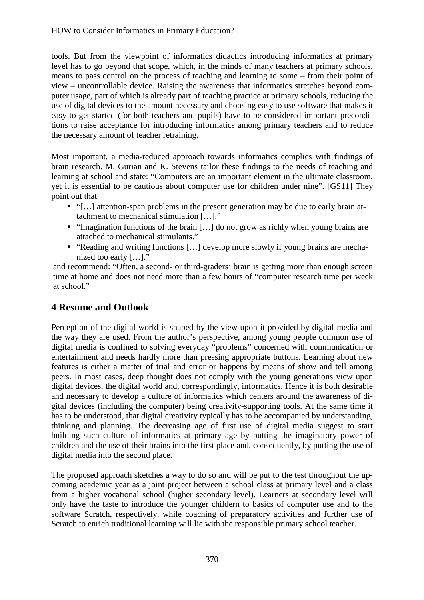tools. But from the viewpoint of informatics didactics introducing informatics at primary level has to go beyond that scope, which, in the minds of many teachers at primary schools, means to pass control on the process of teaching and learning to some – from their point of view – uncontrollable device. Raising the awareness that informatics stretches beyond computer usage, part of which is already part of teaching practice at primary schools, reducing the use of digital devices to the amount necessary and choosing easy to use software that makes it easy to get started (for both teachers and pupils) have to be considered important preconditions to raise acceptance for introducing informatics among primary teachers and to reduce the necessary amount of teacher retraining.

Most important, a media-reduced approach towards informatics complies with findings of brain research. M. Gurian and K. Stevens tailor these findings to the needs of teaching and learning at school and state: "Computers are an important element in the ultimate classroom, yet it is essential to be cautious about computer use for children under nine". [GS11] They point out that

- "[…] attention-span problems in the present generation may be due to early brain attachment to mechanical stimulation […]."
- "Imagination functions of the brain [...] do not grow as richly when young brains are attached to mechanical stimulants."
- "Reading and writing functions […] develop more slowly if young brains are mechanized too early […]."

and recommend: "Often, a second- or third-graders' brain is getting more than enough screen time at home and does not need more than a few hours of "computer research time per week at school."

# **4 Resume and Outlook**

Perception of the digital world is shaped by the view upon it provided by digital media and the way they are used. From the author's perspective, among young people common use of digital media is confined to solving everyday "problems" concerned with communication or entertainment and needs hardly more than pressing appropriate buttons. Learning about new features is either a matter of trial and error or happens by means of show and tell among peers. In most cases, deep thought does not comply with the young generations view upon digital devices, the digital world and, correspondingly, informatics. Hence it is both desirable and necessary to develop a culture of informatics which centers around the awareness of digital devices (including the computer) being creativity-supporting tools. At the same time it has to be understood, that digital creativity typically has to be accompanied by understanding, thinking and planning. The decreasing age of first use of digital media suggest to start building such culture of informatics at primary age by putting the imaginatory power of children and the use of their brains into the first place and, consequently, by putting the use of digital media into the second place.

The proposed approach sketches a way to do so and will be put to the test throughout the upcoming academic year as a joint project between a school class at primary level and a class from a higher vocational school (higher secondary level). Learners at secondary level will only have the taste to introduce the younger childern to basics of computer use and to the software Scratch, respectively, while coaching of preparatory activities and further use of Scratch to enrich traditional learning will lie with the responsible primary school teacher.